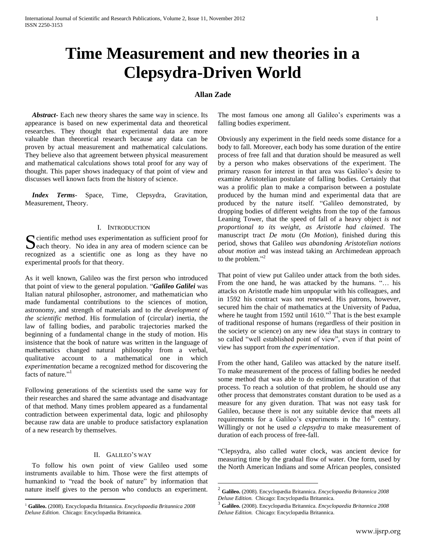# **Time Measurement and new theories in a Clepsydra-Driven World**

# **Allan Zade**

 $\overline{a}$ 

 *Abstract***-** Each new theory shares the same way in science. Its appearance is based on new experimental data and theoretical researches. They thought that experimental data are more valuable than theoretical research because any data can be proven by actual measurement and mathematical calculations. They believe also that agreement between physical measurement and mathematical calculations shows total proof for any way of thought. This paper shows inadequacy of that point of view and discusses well known facts from the history of science.

 *Index Terms*- Space, Time, Clepsydra, Gravitation, Measurement, Theory.

# I. INTRODUCTION

cientific method uses experimentation as sufficient proof for Solitation as sufficient proof for Seach theory. No idea in any area of modern science can be recognized as a scientific one as long as they have no experimental proofs for that theory.

As it well known, Galileo was the first person who introduced that point of view to the general population. "*Galileo Galilei* was Italian natural philosopher, astronomer, and mathematician who made fundamental contributions to the sciences of motion, astronomy, and strength of materials and to *the development of the scientific method*. His formulation of (circular) inertia, the law of falling bodies, and parabolic trajectories marked the beginning of a fundamental change in the study of motion. His insistence that the book of nature was written in the language of mathematics changed natural philosophy from a verbal, qualitative account to a mathematical one in which *experimentation* became a recognized method for discovering the facts of nature."<sup>1</sup>

Following generations of the scientists used the same way for their researches and shared the same advantage and disadvantage of that method. Many times problem appeared as a fundamental contradiction between experimental data, logic and philosophy because raw data are unable to produce satisfactory explanation of a new research by themselves.

## II. GALILEO'S WAY

 To follow his own point of view Galileo used some instruments available to him. Those were the first attempts of humankind to "read the book of nature" by information that nature itself gives to the person who conducts an experiment.

 $\overline{a}$ 

The most famous one among all Galileo's experiments was a falling bodies experiment.

Obviously any experiment in the field needs some distance for a body to fall. Moreover, each body has some duration of the entire process of free fall and that duration should be measured as well by a person who makes observations of the experiment. The primary reason for interest in that area was Galileo's desire to examine Aristotelian postulate of falling bodies. Certainly that was a prolific plan to make a comparison between a postulate produced by the human mind and experimental data that are produced by the nature itself. "Galileo demonstrated, by dropping bodies of different weights from the top of the famous Leaning Tower, that the speed of fall of a heavy object *is not proportional to its weight, as Aristotle had claimed*. The manuscript tract *De motu* (*On Motion*), finished during this period, shows that Galileo *was abandoning Aristotelian notions about motion* and was instead taking an Archimedean approach to the problem."<sup>2</sup>

That point of view put Galileo under attack from the both sides. From the one hand, he was attacked by the humans. "… his attacks on Aristotle made him unpopular with his colleagues, and in 1592 his contract was not renewed. His patrons, however, secured him the chair of mathematics at the University of Padua, where he taught from 1592 until 1610."<sup>3</sup> That is the best example of traditional response of humans (regardless of their position in the society or science) on any new idea that stays in contrary to so called "well established point of view", even if that point of view has support from *the experimentation*.

From the other hand, Galileo was attacked by the nature itself. To make measurement of the process of falling bodies he needed some method that was able to do estimation of duration of that process. To reach a solution of that problem, he should use any other process that demonstrates constant duration to be used as a measure for any given duration. That was not easy task for Galileo, because there is not any suitable device that meets all requirements for a Galileo's experiments in the  $16<sup>th</sup>$  century. Willingly or not he used *a clepsydra* to make measurement of duration of each process of free-fall.

"Clepsydra, also called water clock, was ancient device for measuring time by the gradual flow of water. One form, used by the North American Indians and some African peoples, consisted

<sup>1</sup> **Galileo.** (2008). Encyclopædia Britannica. *Encyclopaedia Britannica 2008 Deluxe Edition.* Chicago: Encyclopædia Britannica.

<sup>2</sup> **Galileo.** (2008). Encyclopædia Britannica. *Encyclopaedia Britannica 2008 Deluxe Edition.* Chicago: Encyclopædia Britannica.

<sup>3</sup> **Galileo.** (2008). Encyclopædia Britannica. *Encyclopaedia Britannica 2008 Deluxe Edition.* Chicago: Encyclopædia Britannica.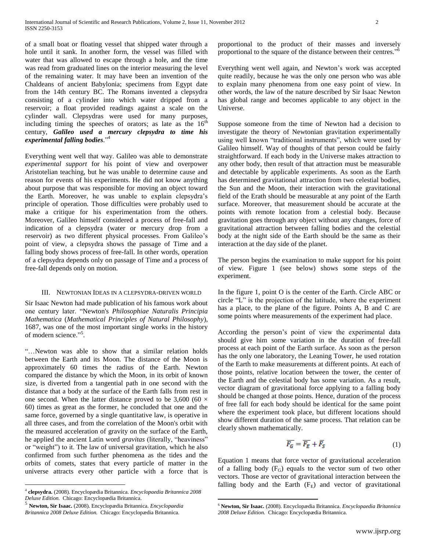of a small boat or floating vessel that shipped water through a hole until it sank. In another form, the vessel was filled with water that was allowed to escape through a hole, and the time was read from graduated lines on the interior measuring the level of the remaining water. It may have been an invention of the Chaldeans of ancient Babylonia; specimens from Egypt date from the 14th century BC. The Romans invented a clepsydra consisting of a cylinder into which water dripped from a reservoir; a float provided readings against a scale on the cylinder wall. Clepsydras were used for many purposes, including timing the speeches of orators; as late as the  $16<sup>th</sup>$ century, *Galileo used a mercury clepsydra to time his experimental falling bodies*." 4

Everything went well that way. Galileo was able to demonstrate *experimental support* for his point of view and overpower Aristotelian teaching, but he was unable to determine cause and reason for events of his experiments. He did not know anything about purpose that was responsible for moving an object toward the Earth. Moreover, he was unable to explain clepsydra's principle of operation. Those difficulties were probably used to make a critique for his experimentation from the others. Moreover, Galileo himself considered a process of free-fall and indication of a clepsydra (water or mercury drop from a reservoir) as two different physical processes. From Galileo's point of view, a clepsydra shows the passage of Time and a falling body shows process of free-fall. In other words, operation of a clepsydra depends only on passage of Time and a process of free-fall depends only on motion.

## III. NEWTONIAN IDEAS IN A CLEPSYDRA-DRIVEN WORLD

Sir Isaac Newton had made publication of his famous work about one century later. "Newton's *Philosophiae Naturalis Principia Mathematica* (*Mathematical Principles of Natural Philosophy*), 1687, was one of the most important single works in the history of modern science."<sup>5</sup>.

"…Newton was able to show that a similar relation holds between the Earth and its Moon. The distance of the Moon is approximately 60 times the radius of the Earth. Newton compared the distance by which the Moon, in its orbit of known size, is diverted from a tangential path in one second with the distance that a body at the surface of the Earth falls from rest in one second. When the latter distance proved to be 3,600 (60  $\times$ 60) times as great as the former, he concluded that one and the same force, governed by a single quantitative law, is operative in all three cases, and from the correlation of the Moon's orbit with the measured acceleration of gravity on the surface of the Earth, he applied the ancient Latin word *gravitas* (literally, "heaviness" or "weight") to it. The law of universal gravitation, which he also confirmed from such further phenomena as the tides and the orbits of comets, states that every particle of matter in the universe attracts every other particle with a force that is

 $\overline{a}$ 

proportional to the product of their masses and inversely proportional to the square of the distance between their centres." 6

Everything went well again, and Newton's work was accepted quite readily, because he was the only one person who was able to explain many phenomena from one easy point of view. In other words, the law of the nature described by Sir Isaac Newton has global range and becomes applicable to any object in the Universe.

Suppose someone from the time of Newton had a decision to investigate the theory of Newtonian gravitation experimentally using well known "traditional instruments", which were used by Galileo himself. Way of thoughts of that person could be fairly straightforward. If each body in the Universe makes attraction to any other body, then result of that attraction must be measurable and detectable by applicable experiments. As soon as the Earth has determined gravitational attraction from two celestial bodies, the Sun and the Moon, their interaction with the gravitational field of the Erath should be measurable at any point of the Earth surface. Moreover, that measurement should be accurate at the points with remote location from a celestial body. Because gravitation goes through any object without any changes, force of gravitational attraction between falling bodies and the celestial body at the night side of the Earth should be the same as their interaction at the day side of the planet.

The person begins the examination to make support for his point of view. Figure 1 (see below) shows some steps of the experiment.

In the figure 1, point O is the center of the Earth. Circle ABC or circle "L" is the projection of the latitude, where the experiment has a place, to the plane of the figure. Points A, B and C are some points where measurements of the experiment had place.

According the person's point of view the experimental data should give him some variation in the duration of free-fall process at each point of the Earth surface. As soon as the person has the only one laboratory, the Leaning Tower, he used rotation of the Earth to make measurements at different points. At each of those points, relative location between the tower, the center of the Earth and the celestial body has some variation. As a result, vector diagram of gravitational force applying to a falling body should be changed at those points. Hence, duration of the process of free fall for each body should be identical for the same point where the experiment took place, but different locations should show different duration of the same process. That relation can be clearly shown mathematically.

$$
\overline{F_G} = \overline{F_E} + \overline{F_S} \tag{1}
$$

Equation 1 means that force vector of gravitational acceleration of a falling body  $(F_G)$  equals to the vector sum of two other vectors. Those are vector of gravitational interaction between the falling body and the Earth  $(F_E)$  and vector of gravitational

 $\overline{a}$ 

<sup>4</sup> **clepsydra.** (2008). Encyclopædia Britannica. *Encyclopaedia Britannica 2008 Deluxe Edition.* Chicago: Encyclopædia Britannica. 5

**Newton, Sir Isaac.** (2008). Encyclopædia Britannica. *Encyclopaedia Britannica 2008 Deluxe Edition.* Chicago: Encyclopædia Britannica.

<sup>6</sup> **Newton, Sir Isaac.** (2008). Encyclopædia Britannica. *Encyclopaedia Britannica 2008 Deluxe Edition.* Chicago: Encyclopædia Britannica.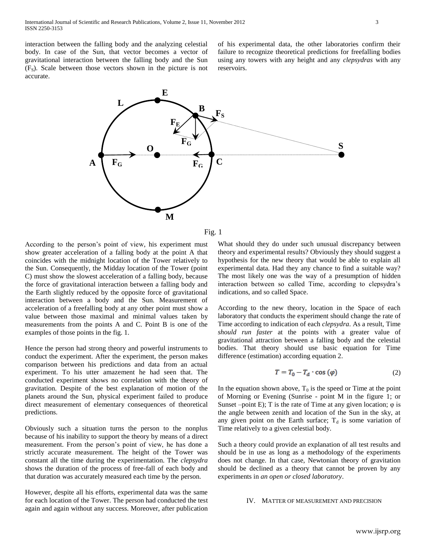interaction between the falling body and the analyzing celestial body. In case of the Sun, that vector becomes a vector of gravitational interaction between the falling body and the Sun  $(F<sub>S</sub>)$ . Scale between those vectors shown in the picture is not accurate.

of his experimental data, the other laboratories confirm their failure to recognize theoretical predictions for freefalling bodies using any towers with any height and any *clepsydras* with any reservoirs.





According to the person's point of view, his experiment must show greater acceleration of a falling body at the point A that coincides with the midnight location of the Tower relatively to the Sun. Consequently, the Midday location of the Tower (point C) must show the slowest acceleration of a falling body, because the force of gravitational interaction between a falling body and the Earth slightly reduced by the opposite force of gravitational interaction between a body and the Sun. Measurement of acceleration of a freefalling body at any other point must show a value between those maximal and minimal values taken by measurements from the points A and C. Point B is one of the examples of those points in the fig. 1.

Hence the person had strong theory and powerful instruments to conduct the experiment. After the experiment, the person makes comparison between his predictions and data from an actual experiment. To his utter amazement he had seen that. The conducted experiment shows no correlation with the theory of gravitation. Despite of the best explanation of motion of the planets around the Sun, physical experiment failed to produce direct measurement of elementary consequences of theoretical predictions.

Obviously such a situation turns the person to the nonplus because of his inability to support the theory by means of a direct measurement. From the person's point of view, he has done a strictly accurate measurement. The height of the Tower was constant all the time during the experimentation. The *clepsydra* shows the duration of the process of free-fall of each body and that duration was accurately measured each time by the person.

However, despite all his efforts, experimental data was the same for each location of the Tower. The person had conducted the test again and again without any success. Moreover, after publication

What should they do under such unusual discrepancy between theory and experimental results? Obviously they should suggest a hypothesis for the new theory that would be able to explain all experimental data. Had they any chance to find a suitable way? The most likely one was the way of a presumption of hidden interaction between so called Time, according to clepsydra's indications, and so called Space.

According to the new theory, location in the Space of each laboratory that conducts the experiment should change the rate of Time according to indication of each *clepsydra*. As a result, Time *should run faster* at the points with a greater value of gravitational attraction between a falling body and the celestial bodies. That theory should use basic equation for Time difference (estimation) according equation 2.

$$
T = T_0 - T_d \cdot \cos(\varphi) \tag{2}
$$

In the equation shown above,  $T_0$  is the speed or Time at the point of Morning or Evening (Sunrise - point M in the figure 1; or Sunset –point E); T is the rate of Time at any given location;  $\varphi$  is the angle between zenith and location of the Sun in the sky, at any given point on the Earth surface;  $T_d$  is some variation of Time relatively to a given celestial body.

Such a theory could provide an explanation of all test results and should be in use as long as a methodology of the experiments does not change. In that case, Newtonian theory of gravitation should be declined as a theory that cannot be proven by any experiments in *an open or closed laboratory*.

#### IV. MATTER OF MEASUREMENT AND PRECISION